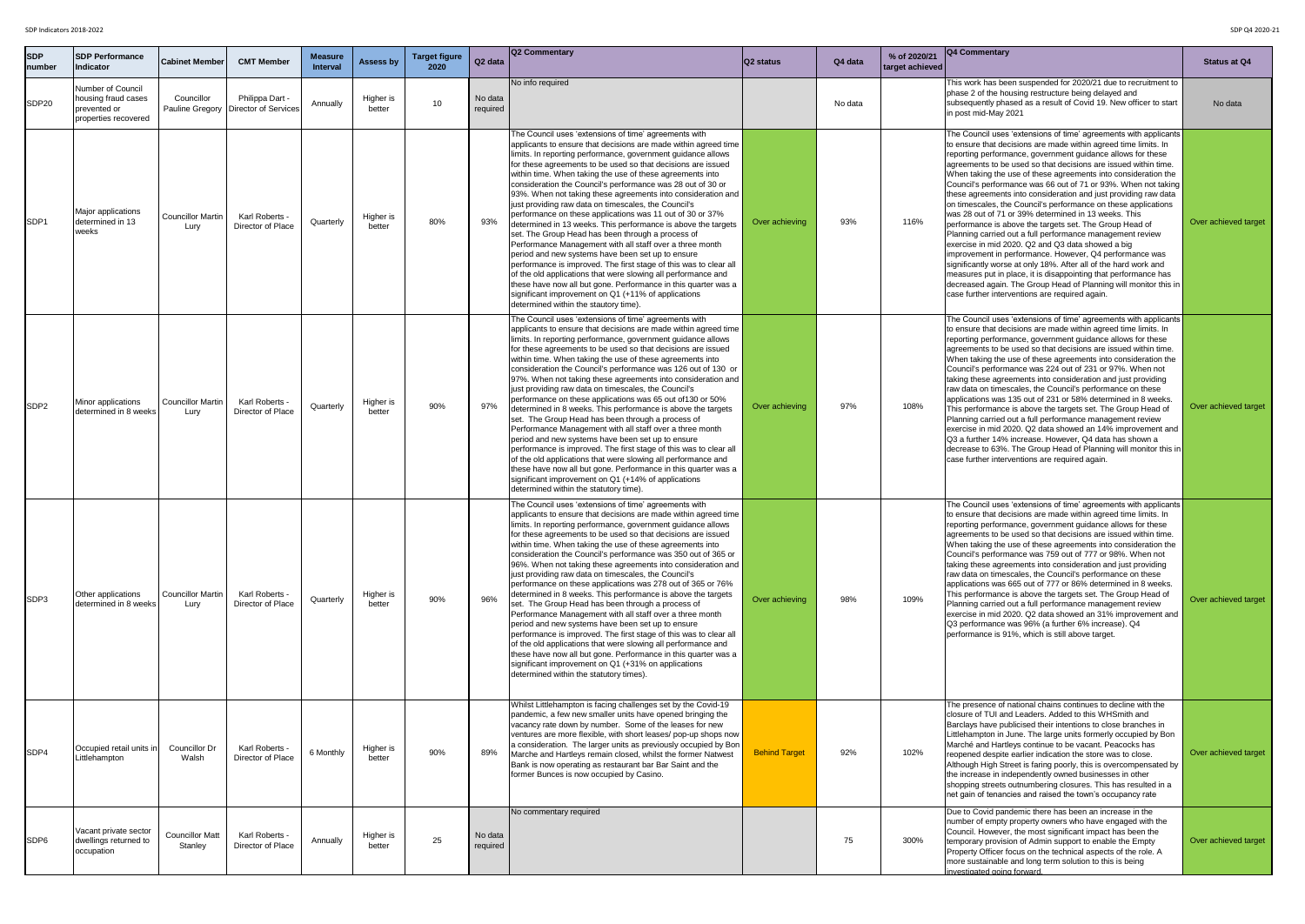| <b>SDP</b><br><b>Inumber</b> | <b>SDP Performance</b><br>Indicator                                              | <b>Cabinet Member</b>                | <b>CMT Member</b>                          | <b>Measure</b><br><b>Interval</b> | <b>Assess by</b>    | <b>Target figure</b><br>2020 | Q <sub>2</sub> data | <b>Q2 Commentary</b>                                                                                                                                                                                                                                                                                                                                                                                                                                                                                                                                                                                                                                                                                                                                                                                                                                                                                                                                                                                                                                                                                                             | Q2 status            | Q4 data | % of 2020/21<br>  target achieved | <b>Q4 Commentary</b>                                                                                                                                                                                                                                                                                                                                                                                                                                                                                                                                                                                                                                                                                                                                                                                                                                                                                                                                                                                                                                                                                       | <b>Statu</b> |
|------------------------------|----------------------------------------------------------------------------------|--------------------------------------|--------------------------------------------|-----------------------------------|---------------------|------------------------------|---------------------|----------------------------------------------------------------------------------------------------------------------------------------------------------------------------------------------------------------------------------------------------------------------------------------------------------------------------------------------------------------------------------------------------------------------------------------------------------------------------------------------------------------------------------------------------------------------------------------------------------------------------------------------------------------------------------------------------------------------------------------------------------------------------------------------------------------------------------------------------------------------------------------------------------------------------------------------------------------------------------------------------------------------------------------------------------------------------------------------------------------------------------|----------------------|---------|-----------------------------------|------------------------------------------------------------------------------------------------------------------------------------------------------------------------------------------------------------------------------------------------------------------------------------------------------------------------------------------------------------------------------------------------------------------------------------------------------------------------------------------------------------------------------------------------------------------------------------------------------------------------------------------------------------------------------------------------------------------------------------------------------------------------------------------------------------------------------------------------------------------------------------------------------------------------------------------------------------------------------------------------------------------------------------------------------------------------------------------------------------|--------------|
| SDP <sub>20</sub>            | Number of Council<br>housing fraud cases<br>prevented or<br>properties recovered | Councillor<br><b>Pauline Gregory</b> | Philippa Dart -<br>Director of Services    | Annually                          | Higher is<br>better | 10                           | No data<br>required | No info required                                                                                                                                                                                                                                                                                                                                                                                                                                                                                                                                                                                                                                                                                                                                                                                                                                                                                                                                                                                                                                                                                                                 |                      | No data |                                   | This work has been suspended for 2020/21 due to recruitment to<br>phase 2 of the housing restructure being delayed and<br>subsequently phased as a result of Covid 19. New officer to start<br>in post mid-May 2021                                                                                                                                                                                                                                                                                                                                                                                                                                                                                                                                                                                                                                                                                                                                                                                                                                                                                        | <b>Nc</b>    |
| SDP <sub>1</sub>             | Major applications<br>ldetermined in 13<br>weeks                                 | <b>Councillor Martin</b><br>Lury     | Karl Roberts -<br><b>Director of Place</b> | Quarterly                         | Higher is<br>better | 80%                          | 93%                 | The Council uses 'extensions of time' agreements with<br>applicants to ensure that decisions are made within agreed time<br>limits. In reporting performance, government guidance allows<br>for these agreements to be used so that decisions are issued<br>within time. When taking the use of these agreements into<br>consideration the Council's performance was 28 out of 30 or<br>[93%. When not taking these agreements into consideration and  <br>just providing raw data on timescales, the Council's<br>performance on these applications was 11 out of 30 or 37%<br>determined in 13 weeks. This performance is above the targets<br>set. The Group Head has been through a process of<br>Performance Management with all staff over a three month<br>period and new systems have been set up to ensure<br>performance is improved. The first stage of this was to clear all<br>of the old applications that were slowing all performance and<br>these have now all but gone. Performance in this quarter was a<br>significant improvement on Q1 (+11% of applications<br>determined within the stautory time).      | Over achieving       | 93%     | 116%                              | The Council uses 'extensions of time' agreements with applicants<br>to ensure that decisions are made within agreed time limits. In<br>reporting performance, government guidance allows for these<br>agreements to be used so that decisions are issued within time.<br>When taking the use of these agreements into consideration the<br>Council's performance was 66 out of 71 or 93%. When not taking<br>these agreements into consideration and just providing raw data<br>on timescales, the Council's performance on these applications<br>was 28 out of 71 or 39% determined in 13 weeks. This<br>performance is above the targets set. The Group Head of<br>Planning carried out a full performance management review<br>exercise in mid 2020. Q2 and Q3 data showed a big<br>improvement in performance. However, Q4 performance was<br>significantly worse at only 18%. After all of the hard work and<br>measures put in place, it is disappointing that performance has<br>decreased again. The Group Head of Planning will monitor this in<br>case further interventions are required again. | Over ach     |
| SDP <sub>2</sub>             | Minor applications<br>determined in 8 weeks                                      | <b>Councillor Martin</b><br>Lury     | Karl Roberts -<br>Director of Place        | Quarterly                         | Higher is<br>better | 90%                          | 97%                 | The Council uses 'extensions of time' agreements with<br>applicants to ensure that decisions are made within agreed time<br>limits. In reporting performance, government guidance allows<br>for these agreements to be used so that decisions are issued<br>within time. When taking the use of these agreements into<br>consideration the Council's performance was 126 out of 130 or<br>97%. When not taking these agreements into consideration and<br>just providing raw data on timescales, the Council's<br>performance on these applications was 65 out of 130 or 50%<br>determined in 8 weeks. This performance is above the targets<br>set. The Group Head has been through a process of<br>Performance Management with all staff over a three month<br>period and new systems have been set up to ensure<br>performance is improved. The first stage of this was to clear all<br>of the old applications that were slowing all performance and<br>these have now all but gone. Performance in this quarter was a<br>significant improvement on Q1 (+14% of applications<br>determined within the statutory time).      | Over achieving       | 97%     | 108%                              | The Council uses 'extensions of time' agreements with applicants<br>to ensure that decisions are made within agreed time limits. In<br>reporting performance, government guidance allows for these<br>lagreements to be used so that decisions are issued within time.<br>When taking the use of these agreements into consideration the<br>Council's performance was 224 out of 231 or 97%. When not<br>taking these agreements into consideration and just providing<br>raw data on timescales, the Council's performance on these<br>applications was 135 out of 231 or 58% determined in 8 weeks.<br>This performance is above the targets set. The Group Head of<br>Planning carried out a full performance management review<br>exercise in mid 2020. Q2 data showed an 14% improvement and<br>Q3 a further 14% increase. However, Q4 data has shown a<br>decrease to 63%. The Group Head of Planning will monitor this in<br>case further interventions are required again.                                                                                                                         | Over ach     |
| SDP3                         | Other applications<br>Idetermined in 8 weeks                                     | <b>Councillor Martin</b><br>Lury     | Karl Roberts -<br>Director of Place        | Quarterly                         | Higher is<br>better | 90%                          | 96%                 | The Council uses 'extensions of time' agreements with<br>applicants to ensure that decisions are made within agreed time<br>limits. In reporting performance, government guidance allows<br>for these agreements to be used so that decisions are issued<br>within time. When taking the use of these agreements into<br>consideration the Council's performance was 350 out of 365 or<br>[96%. When not taking these agreements into consideration and  <br>just providing raw data on timescales, the Council's<br>performance on these applications was 278 out of 365 or 76%<br>determined in 8 weeks. This performance is above the targets<br>set. The Group Head has been through a process of<br>Performance Management with all staff over a three month<br>period and new systems have been set up to ensure<br>performance is improved. The first stage of this was to clear all<br>of the old applications that were slowing all performance and<br>these have now all but gone. Performance in this quarter was a<br>significant improvement on Q1 (+31% on applications<br>determined within the statutory times). | Over achieving       | 98%     | 109%                              | The Council uses 'extensions of time' agreements with applicants<br>to ensure that decisions are made within agreed time limits. In<br>reporting performance, government guidance allows for these<br>agreements to be used so that decisions are issued within time.<br>When taking the use of these agreements into consideration the<br>Council's performance was 759 out of 777 or 98%. When not<br>taking these agreements into consideration and just providing<br>raw data on timescales, the Council's performance on these<br>applications was 665 out of 777 or 86% determined in 8 weeks.<br>This performance is above the targets set. The Group Head of<br>Planning carried out a full performance management review<br>exercise in mid 2020. Q2 data showed an 31% improvement and<br>Q3 performance was 96% (a further 6% increase). Q4<br>performance is 91%, which is still above target.                                                                                                                                                                                                 | Over ach     |
| SDP4                         | Occupied retail units in<br>Littlehampton                                        | <b>Councillor Dr</b><br>Walsh        | Karl Roberts -<br>Director of Place        | 6 Monthly                         | Higher is<br>better | 90%                          | 89%                 | Whilst Littlehampton is facing challenges set by the Covid-19<br>pandemic, a few new smaller units have opened bringing the<br>vacancy rate down by number. Some of the leases for new<br>ventures are more flexible, with short leases/ pop-up shops now<br>a consideration. The larger units as previously occupied by Bon<br>Marche and Hartleys remain closed, whilst the former Natwest<br>Bank is now operating as restaurant bar Bar Saint and the<br>former Bunces is now occupied by Casino.                                                                                                                                                                                                                                                                                                                                                                                                                                                                                                                                                                                                                            | <b>Behind Target</b> | 92%     | 102%                              | The presence of national chains continues to decline with the<br>closure of TUI and Leaders. Added to this WHSmith and<br>Barclays have publicised their intentions to close branches in<br>Littlehampton in June. The large units formerly occupied by Bon<br>Marché and Hartleys continue to be vacant. Peacocks has<br>reopened despite earlier indication the store was to close.<br>Although High Street is faring poorly, this is overcompensated by<br>the increase in independently owned businesses in other<br>shopping streets outnumbering closures. This has resulted in a<br>net gain of tenancies and raised the town's occupancy rate                                                                                                                                                                                                                                                                                                                                                                                                                                                      | Over ach     |
| SDP6                         | Vacant private sector<br>dwellings returned to<br>occupation                     | <b>Councillor Matt</b><br>Stanley    | Karl Roberts -<br>Director of Place        | Annually                          | Higher is<br>better | 25                           | No data<br>required | No commentary required                                                                                                                                                                                                                                                                                                                                                                                                                                                                                                                                                                                                                                                                                                                                                                                                                                                                                                                                                                                                                                                                                                           |                      | 75      | 300%                              | Due to Covid pandemic there has been an increase in the<br>number of empty property owners who have engaged with the<br>Council. However, the most significant impact has been the<br>temporary provision of Admin support to enable the Empty<br>Property Officer focus on the technical aspects of the role. A<br>more sustainable and long term solution to this is being<br>investigated going forward.                                                                                                                                                                                                                                                                                                                                                                                                                                                                                                                                                                                                                                                                                                | Over ach     |

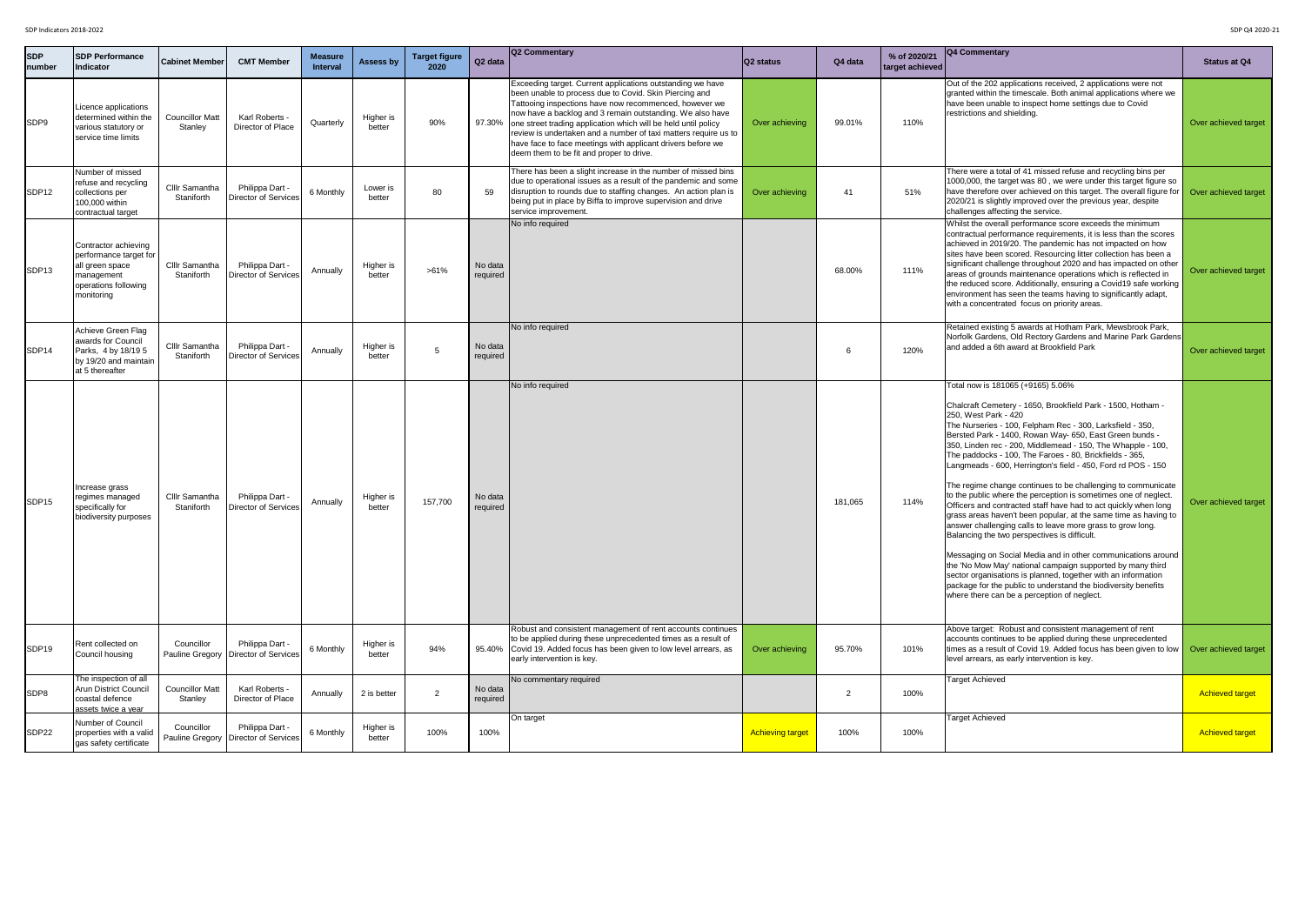|                      | SDP Indicators 2018-2022<br>SDP Q4 2020-21                                                                                    |                                     |                                                |                                   |                     |                              |                     |                                                                                                                                                                                                                                                                                                                                                                                                                                                                                                    |                         |         |                                 |                                                                                                                                                                                                                                                                                                                                                                                                                                                                                                                                                                                                                                                                                                                                                                                                                                                                                                                                                                                                                                                                                                                                                    |                        |
|----------------------|-------------------------------------------------------------------------------------------------------------------------------|-------------------------------------|------------------------------------------------|-----------------------------------|---------------------|------------------------------|---------------------|----------------------------------------------------------------------------------------------------------------------------------------------------------------------------------------------------------------------------------------------------------------------------------------------------------------------------------------------------------------------------------------------------------------------------------------------------------------------------------------------------|-------------------------|---------|---------------------------------|----------------------------------------------------------------------------------------------------------------------------------------------------------------------------------------------------------------------------------------------------------------------------------------------------------------------------------------------------------------------------------------------------------------------------------------------------------------------------------------------------------------------------------------------------------------------------------------------------------------------------------------------------------------------------------------------------------------------------------------------------------------------------------------------------------------------------------------------------------------------------------------------------------------------------------------------------------------------------------------------------------------------------------------------------------------------------------------------------------------------------------------------------|------------------------|
| <b>SDP</b><br>number | <b>SDP Performance</b><br>Indicator                                                                                           | <b>Cabinet Member</b>               | <b>CMT Member</b>                              | <b>Measure</b><br><b>Interval</b> | <b>Assess by</b>    | <b>Target figure</b><br>2020 | Q2 data             | <b>Q2 Commentary</b>                                                                                                                                                                                                                                                                                                                                                                                                                                                                               | Q2 status               | Q4 data | % of 2020/21<br>target achieved | <b>Q4 Commentary</b>                                                                                                                                                                                                                                                                                                                                                                                                                                                                                                                                                                                                                                                                                                                                                                                                                                                                                                                                                                                                                                                                                                                               | <b>Status at Q4</b>    |
| SDP9                 | Licence applications<br>determined within the<br>various statutory or<br>service time limits                                  | <b>Councillor Matt</b><br>Stanley   | Karl Roberts -<br>Director of Place            | Quarterly                         | Higher is<br>better | 90%                          |                     | Exceeding target. Current applications outstanding we have<br>been unable to process due to Covid. Skin Piercing and<br>Tattooing inspections have now recommenced, however we<br>now have a backlog and 3 remain outstanding. We also have<br>97.30% one street trading application which will be held until policy<br>review is undertaken and a number of taxi matters require us to<br>have face to face meetings with applicant drivers before we<br>deem them to be fit and proper to drive. | Over achieving          | 99.01%  | 110%                            | Out of the 202 applications received, 2 applications were not<br>granted within the timescale. Both animal applications where we<br>have been unable to inspect home settings due to Covid<br>restrictions and shielding.                                                                                                                                                                                                                                                                                                                                                                                                                                                                                                                                                                                                                                                                                                                                                                                                                                                                                                                          | Over achieved target   |
| SDP <sub>12</sub>    | Number of missed<br>refuse and recycling<br>collections per<br>100,000 within<br>contractual target                           | <b>CIIIr Samantha</b><br>Staniforth | Philippa Dart -<br>Director of Services        | 6 Monthly                         | Lower is<br>better  | 80                           | 59                  | There has been a slight increase in the number of missed bins<br>due to operational issues as a result of the pandemic and some<br>disruption to rounds due to staffing changes. An action plan is<br>being put in place by Biffa to improve supervision and drive<br>service improvement.                                                                                                                                                                                                         | Over achieving          | 41      | 51%                             | There were a total of 41 missed refuse and recycling bins per<br>1000,000, the target was 80, we were under this target figure so<br>have therefore over achieved on this target. The overall figure for <b>Over achieved target</b><br>2020/21 is slightly improved over the previous year, despite<br>challenges affecting the service.                                                                                                                                                                                                                                                                                                                                                                                                                                                                                                                                                                                                                                                                                                                                                                                                          |                        |
| SDP <sub>13</sub>    | Contractor achieving<br>performance target for<br>all green space<br><b>Imanagement</b><br>operations following<br>monitoring | <b>CIIIr Samantha</b><br>Staniforth | Philippa Dart -<br>Director of Service         | Annually                          | Higher is<br>better | $>61\%$                      | No data<br>required | No info required                                                                                                                                                                                                                                                                                                                                                                                                                                                                                   |                         | 68.00%  | 111%                            | Whilst the overall performance score exceeds the minimum<br>contractual performance requirements, it is less than the scores<br>achieved in 2019/20. The pandemic has not impacted on how<br>sites have been scored. Resourcing litter collection has been a<br>significant challenge throughout 2020 and has impacted on other<br>areas of grounds maintenance operations which is reflected in<br>the reduced score. Additionally, ensuring a Covid19 safe working<br>environment has seen the teams having to significantly adapt,<br>with a concentrated focus on priority areas.                                                                                                                                                                                                                                                                                                                                                                                                                                                                                                                                                              | Over achieved target   |
| SDP <sub>14</sub>    | Achieve Green Flag<br>awards for Council<br>Parks, 4 by 18/19 5<br>by 19/20 and maintain<br>at 5 thereafter                   | <b>CIIIr Samantha</b><br>Staniforth | Philippa Dart -<br><b>Director of Services</b> | Annually                          | Higher is<br>better |                              | No data<br>required | No info required                                                                                                                                                                                                                                                                                                                                                                                                                                                                                   |                         |         | 120%                            | Retained existing 5 awards at Hotham Park, Mewsbrook Park,<br>Norfolk Gardens, Old Rectory Gardens and Marine Park Gardens<br>and added a 6th award at Brookfield Park                                                                                                                                                                                                                                                                                                                                                                                                                                                                                                                                                                                                                                                                                                                                                                                                                                                                                                                                                                             | Over achieved target   |
| SDP <sub>15</sub>    | Increase grass<br>regimes managed<br>specifically for<br>biodiversity purposes                                                | <b>CIIIr Samantha</b><br>Staniforth | Philippa Dart -<br>Director of Services        | Annually                          | Higher is<br>better | 157,700                      | No data<br>required | No info required                                                                                                                                                                                                                                                                                                                                                                                                                                                                                   |                         | 181,065 | 114%                            | Total now is 181065 (+9165) 5.06%<br>Chalcraft Cemetery - 1650, Brookfield Park - 1500, Hotham -<br>250, West Park - 420<br>The Nurseries - 100, Felpham Rec - 300, Larksfield - 350,<br>Bersted Park - 1400, Rowan Way- 650, East Green bunds -<br>[350, Linden rec - 200, Middlemead - 150, The Whapple - 100,<br>The paddocks - 100, The Faroes - 80, Brickfields - 365,<br>Langmeads - 600, Herrington's field - 450, Ford rd POS - 150<br>The regime change continues to be challenging to communicate<br>to the public where the perception is sometimes one of neglect.<br>Officers and contracted staff have had to act quickly when long<br>grass areas haven't been popular, at the same time as having to<br>answer challenging calls to leave more grass to grow long.<br>Balancing the two perspectives is difficult.<br>Messaging on Social Media and in other communications around<br>the 'No Mow May' national campaign supported by many third<br>sector organisations is planned, together with an information<br>package for the public to understand the biodiversity benefits<br>where there can be a perception of neglect. | Over achieved target   |
| SDP <sub>19</sub>    | Rent collected on<br>Council housing                                                                                          | Councillor<br>Pauline Gregory       | Philippa Dart -<br><b>Director of Service:</b> | 6 Monthly                         | Higher is<br>better | 94%                          |                     | Robust and consistent management of rent accounts continues<br>to be applied during these unprecedented times as a result of<br>95.40% Covid 19. Added focus has been given to low level arrears, as<br>early intervention is key.                                                                                                                                                                                                                                                                 | Over achieving          | 95.70%  | 101%                            | Above target: Robust and consistent management of rent<br>accounts continues to be applied during these unprecedented<br>times as a result of Covid 19. Added focus has been given to low <b>Over achieved target</b><br>level arrears, as early intervention is key.                                                                                                                                                                                                                                                                                                                                                                                                                                                                                                                                                                                                                                                                                                                                                                                                                                                                              |                        |
| SDP8                 | The inspection of all<br><b>Arun District Council</b><br>coastal defence<br>assets twice a year                               | <b>Councillor Matt</b><br>Stanley   | Karl Roberts -<br>Director of Place            | Annually                          | 2 is better         | $\mathcal{L}$                | No data<br>required | No commentary required                                                                                                                                                                                                                                                                                                                                                                                                                                                                             |                         | 2       | 100%                            | <b>Target Achieved</b>                                                                                                                                                                                                                                                                                                                                                                                                                                                                                                                                                                                                                                                                                                                                                                                                                                                                                                                                                                                                                                                                                                                             | <b>Achieved target</b> |
| SDP22                | Number of Council<br>properties with a valid<br>gas safety certificate                                                        | Councillor<br>Pauline Gregory       | Philippa Dart -<br>Director of Services        | 6 Monthly                         | Higher is<br>better | 100%                         | 100%                | On target                                                                                                                                                                                                                                                                                                                                                                                                                                                                                          | <b>Achieving target</b> | 100%    | 100%                            | <b>Target Achieved</b>                                                                                                                                                                                                                                                                                                                                                                                                                                                                                                                                                                                                                                                                                                                                                                                                                                                                                                                                                                                                                                                                                                                             | <b>Achieved target</b> |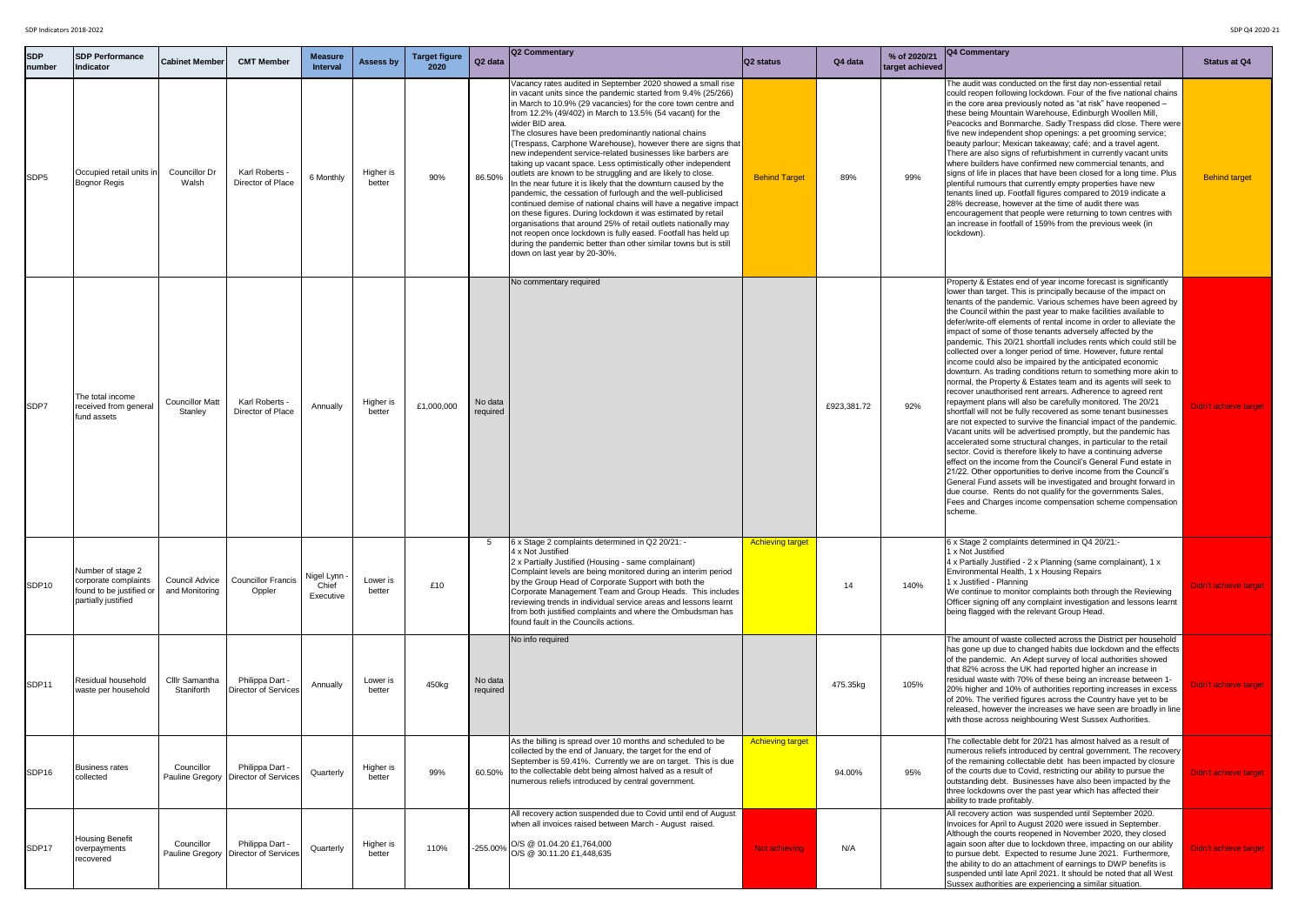| <b>SDP</b><br>number | <b>SDP Performance</b><br>Indicator                                                          | <b>Cabinet Member</b>                   | <b>CMT Member</b>                                         | <b>Measure</b><br><b>Interval</b>  | <b>Assess by</b>    | <b>Target figure</b><br>2020 | Q <sub>2</sub> data | Q2 Commentary                                                                                                                                                                                                                                                                                                                                                                                                                                                                                                                                                                                                                                                                                                                                                                                                                                                                                                                                                                                                                                                                                                    | Q2 status               | Q4 data     | % of 2020/21<br>target achieved | <b>Q4 Commentary</b>                                                                                                                                                                                                                                                                                                                                                                                                                                                                                                                                                                                                                                                                                                                                                                                                                                                                                                                                                                                                                                                                                                                                                                                                                                                                                                                                                                                                                                                                                                                                                               | <b>Statu</b> |
|----------------------|----------------------------------------------------------------------------------------------|-----------------------------------------|-----------------------------------------------------------|------------------------------------|---------------------|------------------------------|---------------------|------------------------------------------------------------------------------------------------------------------------------------------------------------------------------------------------------------------------------------------------------------------------------------------------------------------------------------------------------------------------------------------------------------------------------------------------------------------------------------------------------------------------------------------------------------------------------------------------------------------------------------------------------------------------------------------------------------------------------------------------------------------------------------------------------------------------------------------------------------------------------------------------------------------------------------------------------------------------------------------------------------------------------------------------------------------------------------------------------------------|-------------------------|-------------|---------------------------------|------------------------------------------------------------------------------------------------------------------------------------------------------------------------------------------------------------------------------------------------------------------------------------------------------------------------------------------------------------------------------------------------------------------------------------------------------------------------------------------------------------------------------------------------------------------------------------------------------------------------------------------------------------------------------------------------------------------------------------------------------------------------------------------------------------------------------------------------------------------------------------------------------------------------------------------------------------------------------------------------------------------------------------------------------------------------------------------------------------------------------------------------------------------------------------------------------------------------------------------------------------------------------------------------------------------------------------------------------------------------------------------------------------------------------------------------------------------------------------------------------------------------------------------------------------------------------------|--------------|
| SDP <sub>5</sub>     | Occupied retail units in<br><b>Bognor Regis</b>                                              | <b>Councillor Dr</b><br>Walsh           | Karl Roberts -<br>Director of Place                       | 6 Monthly                          | Higher is<br>better | 90%                          | 86.50%              | Vacancy rates audited in September 2020 showed a small rise<br>in vacant units since the pandemic started from 9.4% (25/266)<br>in March to 10.9% (29 vacancies) for the core town centre and<br>from 12.2% (49/402) in March to 13.5% (54 vacant) for the<br>wider BID area.<br>The closures have been predominantly national chains<br>(Trespass, Carphone Warehouse), however there are signs that<br>new independent service-related businesses like barbers are<br>taking up vacant space. Less optimistically other independent<br>outlets are known to be struggling and are likely to close.<br>In the near future it is likely that the downturn caused by the<br>pandemic, the cessation of furlough and the well-publicised<br>continued demise of national chains will have a negative impact<br>on these figures. During lockdown it was estimated by retail<br>organisations that around 25% of retail outlets nationally may<br>not reopen once lockdown is fully eased. Footfall has held up<br>during the pandemic better than other similar towns but is still<br>down on last year by 20-30%. | <b>Behind Target</b>    | 89%         | 99%                             | The audit was conducted on the first day non-essential retail<br>could reopen following lockdown. Four of the five national chains<br>In the core area previously noted as "at risk" have reopened -<br>these being Mountain Warehouse, Edinburgh Woollen Mill,<br>Peacocks and Bonmarche. Sadly Trespass did close. There were<br>five new independent shop openings: a pet grooming service;<br>beauty parlour; Mexican takeaway; café; and a travel agent.<br>There are also signs of refurbishment in currently vacant units<br>where builders have confirmed new commercial tenants, and<br>signs of life in places that have been closed for a long time. Plus<br>plentiful rumours that currently empty properties have new<br>tenants lined up. Footfall figures compared to 2019 indicate a<br>28% decrease, however at the time of audit there was<br>encouragement that people were returning to town centres with<br>an increase in footfall of 159% from the previous week (in<br>lockdown).                                                                                                                                                                                                                                                                                                                                                                                                                                                                                                                                                                          | <b>Behir</b> |
| <b>SDP7</b>          | The total income<br>received from general<br>fund assets                                     | <b>Councillor Matt</b><br>Stanley       | Karl Roberts -<br>Director of Place                       | Annually                           | Higher is<br>better | £1,000,000                   | No data<br>required | No commentary required                                                                                                                                                                                                                                                                                                                                                                                                                                                                                                                                                                                                                                                                                                                                                                                                                                                                                                                                                                                                                                                                                           |                         | £923,381.72 | 92%                             | Property & Estates end of year income forecast is significantly<br>lower than target. This is principally because of the impact on<br>tenants of the pandemic. Various schemes have been agreed by<br>the Council within the past year to make facilities available to<br>defer/write-off elements of rental income in order to alleviate the<br>impact of some of those tenants adversely affected by the<br>pandemic. This 20/21 shortfall includes rents which could still be<br>collected over a longer period of time. However, future rental<br>income could also be impaired by the anticipated economic<br>downturn. As trading conditions return to something more akin to<br>normal, the Property & Estates team and its agents will seek to<br>recover unauthorised rent arrears. Adherence to agreed rent<br>repayment plans will also be carefully monitored. The 20/21<br>shortfall will not be fully recovered as some tenant businesses<br>are not expected to survive the financial impact of the pandemic.<br>Vacant units will be advertised promptly, but the pandemic has<br>accelerated some structural changes, in particular to the retail<br>sector. Covid is therefore likely to have a continuing adverse<br>leffect on the income from the Council's General Fund estate in<br>21/22. Other opportunities to derive income from the Council's<br>General Fund assets will be investigated and brought forward in<br>due course. Rents do not qualify for the governments Sales,<br>Fees and Charges income compensation scheme compensation<br>scheme. | Didn't ac    |
| SDP <sub>10</sub>    | Number of stage 2<br>corporate complaints<br>found to be justified or<br>partially justified | <b>Council Advice</b><br>and Monitoring | Councillor Francis<br>Oppler                              | Nigel Lynn ·<br>Chief<br>Executive | Lower is<br>better  | £10                          |                     | 3 x Stage 2 complaints determined in Q2 20/21: -<br>4 x Not Justified<br>2 x Partially Justified (Housing - same complainant)<br>Complaint levels are being monitored during an interim period<br>by the Group Head of Corporate Support with both the<br>Corporate Management Team and Group Heads. This includes<br>reviewing trends in individual service areas and lessons learnt<br>from both justified complaints and where the Ombudsman has<br>found fault in the Councils actions.                                                                                                                                                                                                                                                                                                                                                                                                                                                                                                                                                                                                                      | <b>Achieving target</b> | 14          | 140%                            | 6 x Stage 2 complaints determined in Q4 20/21:-<br>1 x Not Justified<br>4 x Partially Justified - 2 x Planning (same complainant), 1 x<br>Environmental Health, 1 x Housing Repairs<br>1 x Justified - Planning<br>We continue to monitor complaints both through the Reviewing<br>Officer signing off any complaint investigation and lessons learnt<br>being flagged with the relevant Group Head.                                                                                                                                                                                                                                                                                                                                                                                                                                                                                                                                                                                                                                                                                                                                                                                                                                                                                                                                                                                                                                                                                                                                                                               | Didn't ac    |
| SDP <sub>11</sub>    | Residual household<br>waste per household                                                    | <b>CIIIr Samantha</b><br>Staniforth     | Philippa Dart -<br>Director of Services                   | Annually                           | Lower is<br>better  | 450kg                        | No data<br>required | No info required                                                                                                                                                                                                                                                                                                                                                                                                                                                                                                                                                                                                                                                                                                                                                                                                                                                                                                                                                                                                                                                                                                 |                         | 475.35kg    | 105%                            | The amount of waste collected across the District per household<br>has gone up due to changed habits due lockdown and the effects<br>of the pandemic. An Adept survey of local authorities showed<br>that 82% across the UK had reported higher an increase in<br>residual waste with 70% of these being an increase between 1-<br>20% higher and 10% of authorities reporting increases in excess<br>of 20%. The verified figures across the Country have yet to be<br>released, however the increases we have seen are broadly in line<br>with those across neighbouring West Sussex Authorities.                                                                                                                                                                                                                                                                                                                                                                                                                                                                                                                                                                                                                                                                                                                                                                                                                                                                                                                                                                                | Didn't ac    |
| SDP <sub>16</sub>    | <b>Business rates</b><br>collected                                                           | Councillor<br><b>Pauline Gregory</b>    | Philippa Dart -<br>Director of Services                   | Quarterly                          | Higher is<br>better | 99%                          | 60.50%              | As the billing is spread over 10 months and scheduled to be<br>collected by the end of January, the target for the end of<br>September is 59.41%. Currently we are on target. This is due<br>to the collectable debt being almost halved as a result of<br>numerous reliefs introduced by central government.                                                                                                                                                                                                                                                                                                                                                                                                                                                                                                                                                                                                                                                                                                                                                                                                    | <b>Achieving target</b> | 94.00%      | 95%                             | The collectable debt for 20/21 has almost halved as a result of<br>numerous reliefs introduced by central government. The recovery<br>of the remaining collectable debt has been impacted by closure<br>of the courts due to Covid, restricting our ability to pursue the<br>outstanding debt. Businesses have also been impacted by the<br>three lockdowns over the past year which has affected their<br>ability to trade profitably.                                                                                                                                                                                                                                                                                                                                                                                                                                                                                                                                                                                                                                                                                                                                                                                                                                                                                                                                                                                                                                                                                                                                            | Didn't ac    |
| SDP17                | Housing Benefit<br>overpayments<br>recovered                                                 | Councillor                              | Philippa Dart -<br>Pauline Gregory   Director of Services | Quarterly                          | Higher is<br>better | 110%                         | $-255.00\%$         | All recovery action suspended due to Covid until end of August<br>when all invoices raised between March - August raised.<br>O/S @ 01.04.20 £1,764,000<br>O/S @ 30.11.20 £1,448,635                                                                                                                                                                                                                                                                                                                                                                                                                                                                                                                                                                                                                                                                                                                                                                                                                                                                                                                              | <b>Not achieving</b>    | N/A         |                                 | All recovery action was suspended until September 2020.<br>Invoices for April to August 2020 were issued in September.<br>Although the courts reopened in November 2020, they closed<br>again soon after due to lockdown three, impacting on our ability<br>to pursue debt. Expected to resume June 2021. Furthermore,<br>the ability to do an attachment of earnings to DWP benefits is<br>suspended until late April 2021. It should be noted that all West<br>Sussex authorities are experiencing a similar situation.                                                                                                                                                                                                                                                                                                                                                                                                                                                                                                                                                                                                                                                                                                                                                                                                                                                                                                                                                                                                                                                          | Didn't ac    |